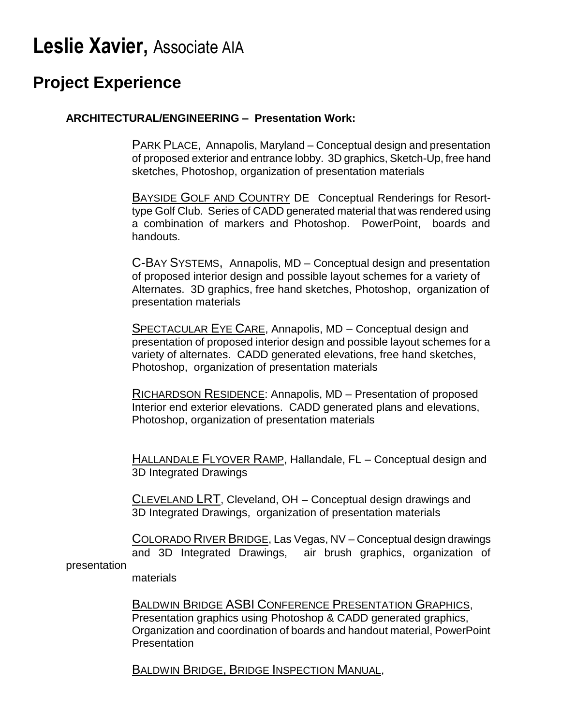# **Leslie Xavier,** Associate AIA

## **Project Experience**

#### **ARCHITECTURAL/ENGINEERING – Presentation Work:**

PARK PLACE, Annapolis, Maryland – Conceptual design and presentation of proposed exterior and entrance lobby. 3D graphics, Sketch-Up, free hand sketches, Photoshop, organization of presentation materials

BAYSIDE GOLF AND COUNTRY DE Conceptual Renderings for Resorttype Golf Club. Series of CADD generated material that was rendered using a combination of markers and Photoshop. PowerPoint, boards and handouts.

C-BAY SYSTEMS, Annapolis, MD – Conceptual design and presentation of proposed interior design and possible layout schemes for a variety of Alternates. 3D graphics, free hand sketches, Photoshop, organization of presentation materials

SPECTACULAR EYE CARE, Annapolis, MD – Conceptual design and presentation of proposed interior design and possible layout schemes for a variety of alternates. CADD generated elevations, free hand sketches, Photoshop, organization of presentation materials

RICHARDSON RESIDENCE: Annapolis, MD – Presentation of proposed Interior end exterior elevations. CADD generated plans and elevations, Photoshop, organization of presentation materials

HALLANDALE FLYOVER RAMP, Hallandale, FL – Conceptual design and 3D Integrated Drawings

CLEVELAND LRT, Cleveland, OH – Conceptual design drawings and 3D Integrated Drawings, organization of presentation materials

COLORADO RIVER BRIDGE, Las Vegas, NV – Conceptual design drawings and 3D Integrated Drawings, air brush graphics, organization of presentation

#### materials

BALDWIN BRIDGE ASBI CONFERENCE PRESENTATION GRAPHICS, Presentation graphics using Photoshop & CADD generated graphics, Organization and coordination of boards and handout material, PowerPoint **Presentation** 

BALDWIN BRIDGE, BRIDGE INSPECTION MANUAL,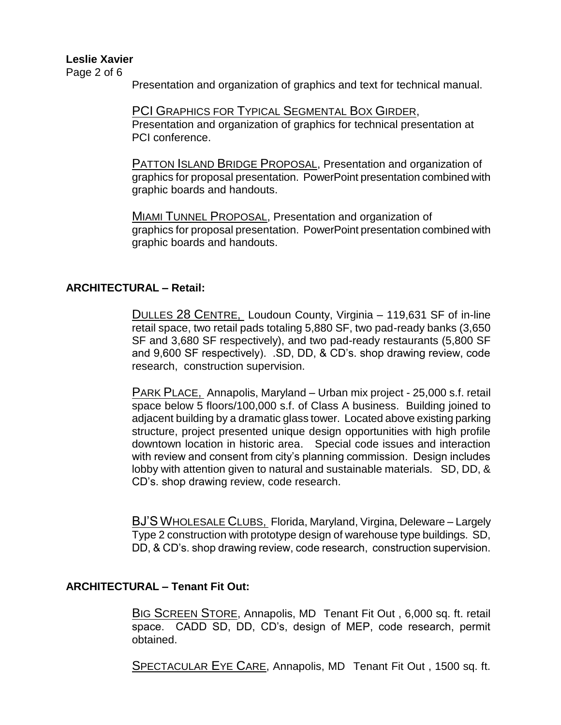Page 2 of 6

Presentation and organization of graphics and text for technical manual.

PCI GRAPHICS FOR TYPICAL SEGMENTAL BOX GIRDER, Presentation and organization of graphics for technical presentation at PCI conference.

**PATTON ISLAND BRIDGE PROPOSAL, Presentation and organization of** graphics for proposal presentation. PowerPoint presentation combined with graphic boards and handouts.

MIAMI TUNNEL PROPOSAL, Presentation and organization of graphics for proposal presentation. PowerPoint presentation combined with graphic boards and handouts.

#### **ARCHITECTURAL – Retail:**

DULLES 28 CENTRE, Loudoun County, Virginia – 119,631 SF of in-line retail space, two retail pads totaling 5,880 SF, two pad-ready banks (3,650 SF and 3,680 SF respectively), and two pad-ready restaurants (5,800 SF and 9,600 SF respectively). .SD, DD, & CD's. shop drawing review, code research, construction supervision.

PARK PLACE, Annapolis, Maryland – Urban mix project - 25,000 s.f. retail space below 5 floors/100,000 s.f. of Class A business. Building joined to adjacent building by a dramatic glass tower. Located above existing parking structure, project presented unique design opportunities with high profile downtown location in historic area. Special code issues and interaction with review and consent from city's planning commission. Design includes lobby with attention given to natural and sustainable materials. SD, DD, & CD's. shop drawing review, code research.

BJ'S WHOLESALE CLUBS, Florida, Maryland, Virgina, Deleware – Largely Type 2 construction with prototype design of warehouse type buildings. SD, DD, & CD's. shop drawing review, code research, construction supervision.

#### **ARCHITECTURAL – Tenant Fit Out:**

BIG SCREEN STORE, Annapolis, MD Tenant Fit Out, 6,000 sq. ft. retail space. CADD SD, DD, CD's, design of MEP, code research, permit obtained.

SPECTACULAR EYE CARE, Annapolis, MD Tenant Fit Out , 1500 sq. ft.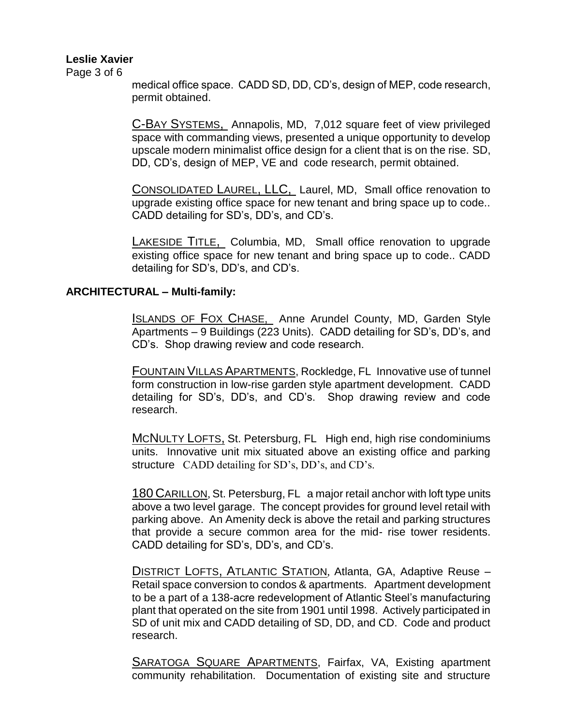Page 3 of 6

medical office space. CADD SD, DD, CD's, design of MEP, code research, permit obtained.

C-BAY SYSTEMS, Annapolis, MD, 7,012 square feet of view privileged space with commanding views, presented a unique opportunity to develop upscale modern minimalist office design for a client that is on the rise. SD, DD, CD's, design of MEP, VE and code research, permit obtained.

CONSOLIDATED LAUREL, LLC, Laurel, MD, Small office renovation to upgrade existing office space for new tenant and bring space up to code.. CADD detailing for SD's, DD's, and CD's.

LAKESIDE TITLE, Columbia, MD, Small office renovation to upgrade existing office space for new tenant and bring space up to code.. CADD detailing for SD's, DD's, and CD's.

#### **ARCHITECTURAL – Multi-family:**

ISLANDS OF FOX CHASE, Anne Arundel County, MD, Garden Style Apartments – 9 Buildings (223 Units). CADD detailing for SD's, DD's, and CD's. Shop drawing review and code research.

FOUNTAIN VILLAS APARTMENTS, Rockledge, FL Innovative use of tunnel form construction in low-rise garden style apartment development. CADD detailing for SD's, DD's, and CD's. Shop drawing review and code research.

MCNULTY LOFTS, St. Petersburg, FL High end, high rise condominiums units. Innovative unit mix situated above an existing office and parking structure CADD detailing for SD's, DD's, and CD's.

180 CARILLON, St. Petersburg, FL a major retail anchor with loft type units above a two level garage. The concept provides for ground level retail with parking above. An Amenity deck is above the retail and parking structures that provide a secure common area for the mid- rise tower residents. CADD detailing for SD's, DD's, and CD's.

DISTRICT LOFTS, ATLANTIC STATION, Atlanta, GA, Adaptive Reuse – Retail space conversion to condos & apartments. Apartment development to be a part of a 138-acre redevelopment of Atlantic Steel's manufacturing plant that operated on the site from 1901 until 1998. Actively participated in SD of unit mix and CADD detailing of SD, DD, and CD. Code and product research.

SARATOGA SQUARE APARTMENTS, Fairfax, VA, Existing apartment community rehabilitation. Documentation of existing site and structure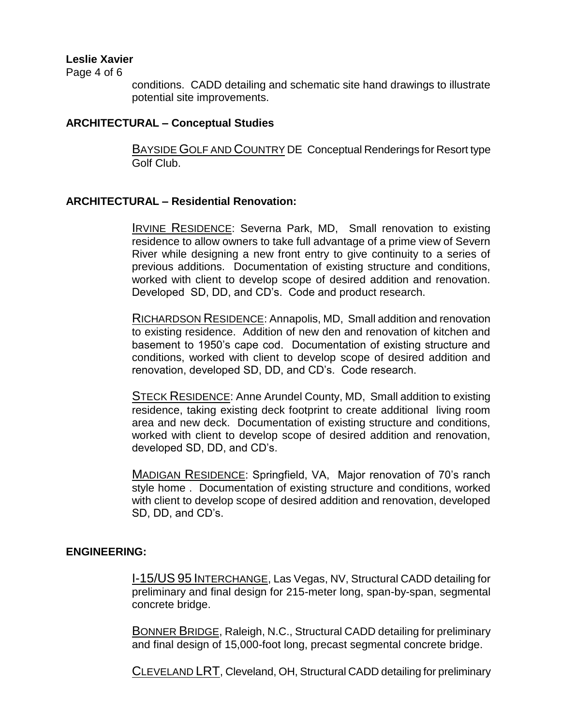Page 4 of 6

conditions. CADD detailing and schematic site hand drawings to illustrate potential site improvements.

#### **ARCHITECTURAL – Conceptual Studies**

BAYSIDE GOLF AND COUNTRY DE Conceptual Renderings for Resort type Golf Club.

#### **ARCHITECTURAL – Residential Renovation:**

IRVINE RESIDENCE: Severna Park, MD, Small renovation to existing residence to allow owners to take full advantage of a prime view of Severn River while designing a new front entry to give continuity to a series of previous additions. Documentation of existing structure and conditions, worked with client to develop scope of desired addition and renovation. Developed SD, DD, and CD's. Code and product research.

RICHARDSON RESIDENCE: Annapolis, MD, Small addition and renovation to existing residence. Addition of new den and renovation of kitchen and basement to 1950's cape cod. Documentation of existing structure and conditions, worked with client to develop scope of desired addition and renovation, developed SD, DD, and CD's. Code research.

STECK RESIDENCE: Anne Arundel County, MD, Small addition to existing residence, taking existing deck footprint to create additional living room area and new deck. Documentation of existing structure and conditions, worked with client to develop scope of desired addition and renovation, developed SD, DD, and CD's.

MADIGAN RESIDENCE: Springfield, VA, Major renovation of 70's ranch style home . Documentation of existing structure and conditions, worked with client to develop scope of desired addition and renovation, developed SD, DD, and CD's.

#### **ENGINEERING:**

I-15/US 95 INTERCHANGE, Las Vegas, NV, Structural CADD detailing for preliminary and final design for 215-meter long, span-by-span, segmental concrete bridge.

BONNER BRIDGE, Raleigh, N.C., Structural CADD detailing for preliminary and final design of 15,000-foot long, precast segmental concrete bridge.

CLEVELAND LRT, Cleveland, OH, Structural CADD detailing for preliminary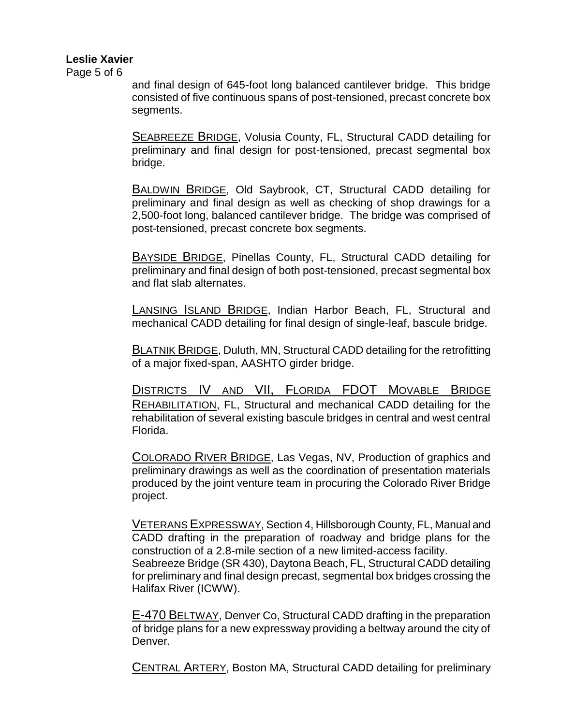Page 5 of 6

and final design of 645-foot long balanced cantilever bridge. This bridge consisted of five continuous spans of post-tensioned, precast concrete box segments.

SEABREEZE BRIDGE, Volusia County, FL, Structural CADD detailing for preliminary and final design for post-tensioned, precast segmental box bridge.

BALDWIN BRIDGE, Old Saybrook, CT, Structural CADD detailing for preliminary and final design as well as checking of shop drawings for a 2,500-foot long, balanced cantilever bridge. The bridge was comprised of post-tensioned, precast concrete box segments.

BAYSIDE BRIDGE, Pinellas County, FL, Structural CADD detailing for preliminary and final design of both post-tensioned, precast segmental box and flat slab alternates.

LANSING ISLAND BRIDGE, Indian Harbor Beach, FL, Structural and mechanical CADD detailing for final design of single-leaf, bascule bridge.

**BLATNIK BRIDGE, Duluth, MN, Structural CADD detailing for the retrofitting** of a major fixed-span, AASHTO girder bridge.

DISTRICTS IV AND VII, FLORIDA FDOT MOVABLE BRIDGE REHABILITATION, FL, Structural and mechanical CADD detailing for the rehabilitation of several existing bascule bridges in central and west central Florida.

COLORADO RIVER BRIDGE, Las Vegas, NV, Production of graphics and preliminary drawings as well as the coordination of presentation materials produced by the joint venture team in procuring the Colorado River Bridge project.

VETERANS EXPRESSWAY, Section 4, Hillsborough County, FL, Manual and CADD drafting in the preparation of roadway and bridge plans for the construction of a 2.8-mile section of a new limited-access facility. Seabreeze Bridge (SR 430), Daytona Beach, FL, Structural CADD detailing for preliminary and final design precast, segmental box bridges crossing the Halifax River (ICWW).

E-470 BELTWAY, Denver Co, Structural CADD drafting in the preparation of bridge plans for a new expressway providing a beltway around the city of Denver.

CENTRAL ARTERY, Boston MA, Structural CADD detailing for preliminary